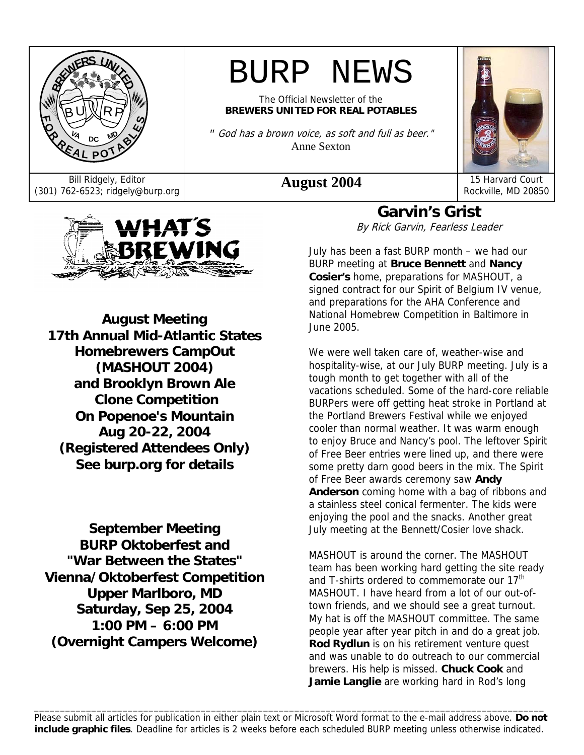

# BURP NEWS

The Official Newsletter of the **BREWERS UNITED FOR REAL POTABLES**

*"* God has a brown voice, as soft and full as beer." Anne Sexton



Bill Ridgely, Editor **August 2004** 15 Harvard Court (301) 762-6523; ridgely@burp.org **August 2004** 15 Harvard Court Rockville, MD 20850



**August Meeting 17th Annual Mid-Atlantic States Homebrewers CampOut (MASHOUT 2004) and Brooklyn Brown Ale Clone Competition On Popenoe's Mountain Aug 20-22, 2004 (Registered Attendees Only) See burp.org for details**

**September Meeting BURP Oktoberfest and "War Between the States" Vienna/Oktoberfest Competition Upper Marlboro, MD Saturday, Sep 25, 2004 1:00 PM – 6:00 PM (Overnight Campers Welcome)** 

**Garvin's Grist**  By Rick Garvin, Fearless Leader

July has been a fast BURP month – we had our BURP meeting at **Bruce Bennett** and **Nancy Cosier's** home, preparations for MASHOUT, a signed contract for our Spirit of Belgium IV venue, and preparations for the AHA Conference and National Homebrew Competition in Baltimore in June 2005.

We were well taken care of, weather-wise and hospitality-wise, at our July BURP meeting. July is a tough month to get together with all of the vacations scheduled. Some of the hard-core reliable BURPers were off getting heat stroke in Portland at the Portland Brewers Festival while we enjoyed cooler than normal weather. It was warm enough to enjoy Bruce and Nancy's pool. The leftover Spirit of Free Beer entries were lined up, and there were some pretty darn good beers in the mix. The Spirit of Free Beer awards ceremony saw **Andy Anderson** coming home with a bag of ribbons and a stainless steel conical fermenter. The kids were enjoying the pool and the snacks. Another great July meeting at the Bennett/Cosier love shack.

MASHOUT is around the corner. The MASHOUT team has been working hard getting the site ready and T-shirts ordered to commemorate our 17<sup>th</sup> MASHOUT. I have heard from a lot of our out-oftown friends, and we should see a great turnout. My hat is off the MASHOUT committee. The same people year after year pitch in and do a great job. **Rod Rydlun** is on his retirement venture quest and was unable to do outreach to our commercial brewers. His help is missed. **Chuck Cook** and **Jamie Langlie** are working hard in Rod's long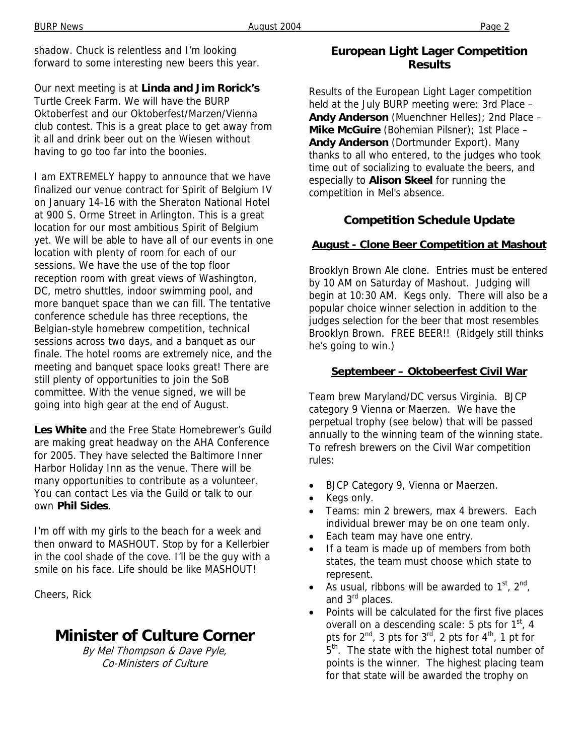shadow. Chuck is relentless and I'm looking forward to some interesting new beers this year.

Our next meeting is at **Linda and Jim Rorick's** Turtle Creek Farm. We will have the BURP Oktoberfest and our Oktoberfest/Marzen/Vienna club contest. This is a great place to get away from it all and drink beer out on the Wiesen without having to go too far into the boonies.

I am EXTREMELY happy to announce that we have finalized our venue contract for Spirit of Belgium IV on January 14-16 with the Sheraton National Hotel at 900 S. Orme Street in Arlington. This is a great location for our most ambitious Spirit of Belgium yet. We will be able to have all of our events in one location with plenty of room for each of our sessions. We have the use of the top floor reception room with great views of Washington, DC, metro shuttles, indoor swimming pool, and more banquet space than we can fill. The tentative conference schedule has three receptions, the Belgian-style homebrew competition, technical sessions across two days, and a banquet as our finale. The hotel rooms are extremely nice, and the meeting and banquet space looks great! There are still plenty of opportunities to join the SoB committee. With the venue signed, we will be going into high gear at the end of August.

**Les White** and the Free State Homebrewer's Guild are making great headway on the AHA Conference for 2005. They have selected the Baltimore Inner Harbor Holiday Inn as the venue. There will be many opportunities to contribute as a volunteer. You can contact Les via the Guild or talk to our own **Phil Sides**.

I'm off with my girls to the beach for a week and then onward to MASHOUT. Stop by for a Kellerbier in the cool shade of the cove. I'll be the guy with a smile on his face. Life should be like MASHOUT!

Cheers, Rick

# **Minister of Culture Corner**

By Mel Thompson & Dave Pyle, Co-Ministers of Culture

### **European Light Lager Competition Results**

Results of the European Light Lager competition held at the July BURP meeting were: 3rd Place – **Andy Anderson** (Muenchner Helles); 2nd Place – **Mike McGuire** (Bohemian Pilsner); 1st Place – **Andy Anderson** (Dortmunder Export). Many thanks to all who entered, to the judges who took time out of socializing to evaluate the beers, and especially to **Alison Skeel** for running the competition in Mel's absence.

### **Competition Schedule Update**

### **August - Clone Beer Competition at Mashout**

Brooklyn Brown Ale clone. Entries must be entered by 10 AM on Saturday of Mashout. Judging will begin at 10:30 AM. Kegs only. There will also be a popular choice winner selection in addition to the judges selection for the beer that most resembles Brooklyn Brown. FREE BEER!! (Ridgely still thinks he's going to win.)

### **Septembeer – Oktobeerfest Civil War**

Team brew Maryland/DC versus Virginia. BJCP category 9 Vienna or Maerzen. We have the perpetual trophy (see below) that will be passed annually to the winning team of the winning state. To refresh brewers on the Civil War competition rules:

- BJCP Category 9, Vienna or Maerzen.
- Kegs only.
- Teams: min 2 brewers, max 4 brewers. Each individual brewer may be on one team only.
- Each team may have one entry.
- If a team is made up of members from both states, the team must choose which state to represent.
- As usual, ribbons will be awarded to  $1<sup>st</sup>$ ,  $2<sup>nd</sup>$ , and 3<sup>rd</sup> places.
- Points will be calculated for the first five places overall on a descending scale: 5 pts for  $1<sup>st</sup>$ , 4 pts for  $2^{nd}$ , 3 pts for  $3^{rd}$ , 2 pts for  $4^{th}$ , 1 pt for 5<sup>th</sup>. The state with the highest total number of points is the winner. The highest placing team for that state will be awarded the trophy on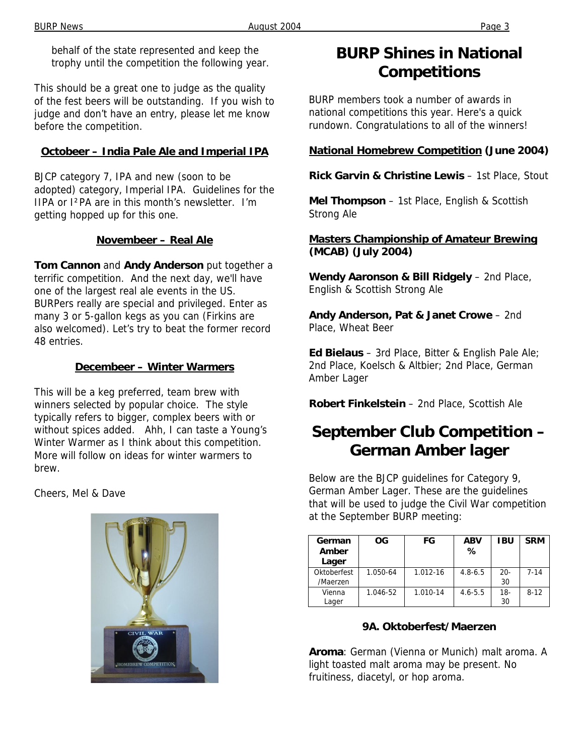behalf of the state represented and keep the trophy until the competition the following year.

This should be a great one to judge as the quality of the fest beers will be outstanding. If you wish to judge and don't have an entry, please let me know before the competition.

#### **Octobeer – India Pale Ale and Imperial IPA**

BJCP category 7, IPA and new (soon to be adopted) category, Imperial IPA. Guidelines for the IIPA or I²PA are in this month's newsletter. I'm getting hopped up for this one.

#### **Novembeer – Real Ale**

**Tom Cannon** and **Andy Anderson** put together a terrific competition. And the next day, we'll have one of the largest real ale events in the US. BURPers really are special and privileged. Enter as many 3 or 5-gallon kegs as you can (Firkins are also welcomed). Let's try to beat the former record 48 entries.

#### **Decembeer – Winter Warmers**

This will be a keg preferred, team brew with winners selected by popular choice. The style typically refers to bigger, complex beers with or without spices added. Ahh, I can taste a Young's Winter Warmer as I think about this competition. More will follow on ideas for winter warmers to brew.

Cheers, Mel & Dave



## **BURP Shines in National Competitions**

BURP members took a number of awards in national competitions this year. Here's a quick rundown. Congratulations to all of the winners!

#### **National Homebrew Competition (June 2004)**

**Rick Garvin & Christine Lewis** – 1st Place, Stout

**Mel Thompson** – 1st Place, English & Scottish Strong Ale

#### **Masters Championship of Amateur Brewing (MCAB) (July 2004)**

**Wendy Aaronson & Bill Ridgely** – 2nd Place, English & Scottish Strong Ale

**Andy Anderson, Pat & Janet Crowe** – 2nd Place, Wheat Beer

**Ed Bielaus** – 3rd Place, Bitter & English Pale Ale; 2nd Place, Koelsch & Altbier; 2nd Place, German Amber Lager

**Robert Finkelstein** – 2nd Place, Scottish Ale

# **September Club Competition – German Amber lager**

Below are the BJCP guidelines for Category 9, German Amber Lager. These are the guidelines that will be used to judge the Civil War competition at the September BURP meeting:

| German<br>Amber<br>Lager | <b>OG</b> | FG       | <b>ABV</b><br>℅ | <b>IBU</b>  | <b>SRM</b> |
|--------------------------|-----------|----------|-----------------|-------------|------------|
| Oktoberfest<br>/Maerzen  | 1.050-64  | 1.012-16 | $4.8 - 6.5$     | $20-$<br>30 | $7 - 14$   |
| Vienna<br>Lager          | 1.046-52  | 1.010-14 | $4.6 - 5.5$     | 18-<br>30   | $8 - 12$   |

### **9A. Oktoberfest/Maerzen**

**Aroma**: German (Vienna or Munich) malt aroma. A light toasted malt aroma may be present. No fruitiness, diacetyl, or hop aroma.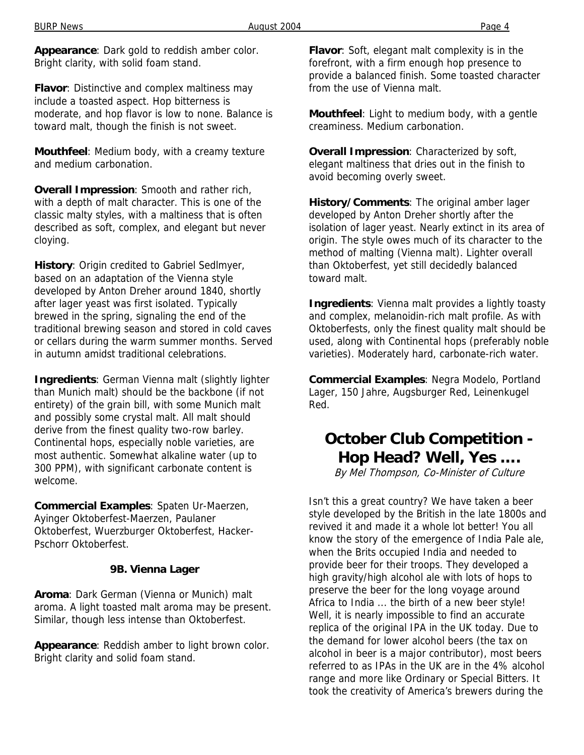**Appearance**: Dark gold to reddish amber color. Bright clarity, with solid foam stand.

**Flavor**: Distinctive and complex maltiness may include a toasted aspect. Hop bitterness is moderate, and hop flavor is low to none. Balance is toward malt, though the finish is not sweet.

**Mouthfeel**: Medium body, with a creamy texture and medium carbonation.

**Overall Impression**: Smooth and rather rich, with a depth of malt character. This is one of the classic malty styles, with a maltiness that is often described as soft, complex, and elegant but never cloying.

**History**: Origin credited to Gabriel Sedlmyer, based on an adaptation of the Vienna style developed by Anton Dreher around 1840, shortly after lager yeast was first isolated. Typically brewed in the spring, signaling the end of the traditional brewing season and stored in cold caves or cellars during the warm summer months. Served in autumn amidst traditional celebrations.

**Ingredients**: German Vienna malt (slightly lighter than Munich malt) should be the backbone (if not entirety) of the grain bill, with some Munich malt and possibly some crystal malt. All malt should derive from the finest quality two-row barley. Continental hops, especially noble varieties, are most authentic. Somewhat alkaline water (up to 300 PPM), with significant carbonate content is welcome.

**Commercial Examples**: Spaten Ur-Maerzen, Ayinger Oktoberfest-Maerzen, Paulaner Oktoberfest, Wuerzburger Oktoberfest, Hacker-Pschorr Oktoberfest.

#### **9B. Vienna Lager**

**Aroma**: Dark German (Vienna or Munich) malt aroma. A light toasted malt aroma may be present. Similar, though less intense than Oktoberfest.

**Appearance**: Reddish amber to light brown color. Bright clarity and solid foam stand.

**Flavor**: Soft, elegant malt complexity is in the forefront, with a firm enough hop presence to provide a balanced finish. Some toasted character from the use of Vienna malt.

**Mouthfeel**: Light to medium body, with a gentle creaminess. Medium carbonation.

**Overall Impression**: Characterized by soft, elegant maltiness that dries out in the finish to avoid becoming overly sweet.

**History/Comments**: The original amber lager developed by Anton Dreher shortly after the isolation of lager yeast. Nearly extinct in its area of origin. The style owes much of its character to the method of malting (Vienna malt). Lighter overall than Oktoberfest, yet still decidedly balanced toward malt.

**Ingredients**: Vienna malt provides a lightly toasty and complex, melanoidin-rich malt profile. As with Oktoberfests, only the finest quality malt should be used, along with Continental hops (preferably noble varieties). Moderately hard, carbonate-rich water.

**Commercial Examples**: Negra Modelo, Portland Lager, 150 Jahre, Augsburger Red, Leinenkugel Red.

## **October Club Competition - Hop Head? Well, Yes ….**

By Mel Thompson, Co-Minister of Culture

Isn't this a great country? We have taken a beer style developed by the British in the late 1800s and revived it and made it a whole lot better! You all know the story of the emergence of India Pale ale, when the Brits occupied India and needed to provide beer for their troops. They developed a high gravity/high alcohol ale with lots of hops to preserve the beer for the long voyage around Africa to India ... the birth of a new beer style! Well, it is nearly impossible to find an accurate replica of the original IPA in the UK today. Due to the demand for lower alcohol beers (the tax on alcohol in beer is a major contributor), most beers referred to as IPAs in the UK are in the 4% alcohol range and more like Ordinary or Special Bitters. It took the creativity of America's brewers during the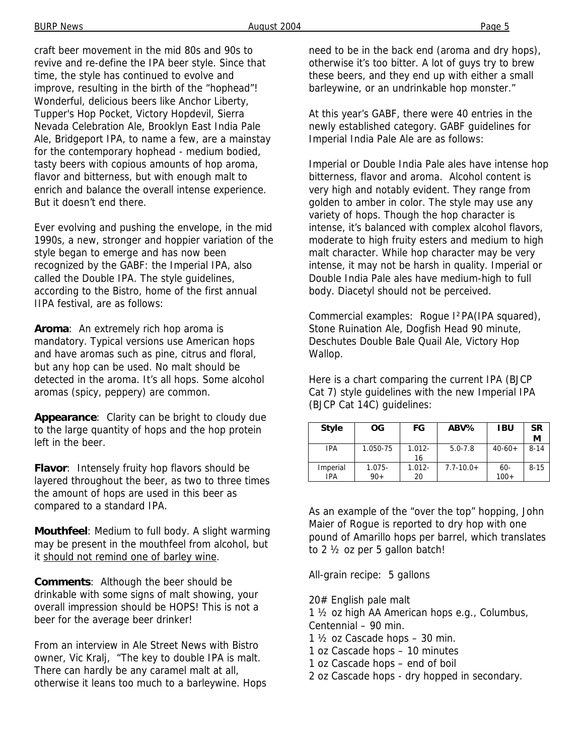craft beer movement in the mid 80s and 90s to revive and re-define the IPA beer style. Since that time, the style has continued to evolve and improve, resulting in the birth of the "hophead"! Wonderful, delicious beers like Anchor Liberty, Tupper's Hop Pocket, Victory Hopdevil, Sierra Nevada Celebration Ale, Brooklyn East India Pale Ale, Bridgeport IPA, to name a few, are a mainstay for the contemporary hophead - medium bodied, tasty beers with copious amounts of hop aroma, flavor and bitterness, but with enough malt to enrich and balance the overall intense experience. But it doesn't end there.

Ever evolving and pushing the envelope, in the mid 1990s, a new, stronger and hoppier variation of the style began to emerge and has now been recognized by the GABF: the Imperial IPA, also called the Double IPA. The style guidelines, according to the Bistro, home of the first annual IIPA festival, are as follows:

**Aroma**: An extremely rich hop aroma is mandatory. Typical versions use American hops and have aromas such as pine, citrus and floral, but any hop can be used. No malt should be detected in the aroma. It's all hops. Some alcohol aromas (spicy, peppery) are common.

**Appearance**: Clarity can be bright to cloudy due to the large quantity of hops and the hop protein left in the beer.

**Flavor**: Intensely fruity hop flavors should be layered throughout the beer, as two to three times the amount of hops are used in this beer as compared to a standard IPA.

**Mouthfeel**: Medium to full body. A slight warming may be present in the mouthfeel from alcohol, but it should not remind one of barley wine.

**Comments**: Although the beer should be drinkable with some signs of malt showing, your overall impression should be HOPS! This is not a beer for the average beer drinker!

From an interview in Ale Street News with Bistro owner, Vic Kralj, "The key to double IPA is malt. There can hardly be any caramel malt at all, otherwise it leans too much to a barleywine. Hops need to be in the back end (aroma and dry hops), otherwise it's too bitter. A lot of guys try to brew these beers, and they end up with either a small barleywine, or an undrinkable hop monster."

At this year's GABF, there were 40 entries in the newly established category. GABF guidelines for Imperial India Pale Ale are as follows:

Imperial or Double India Pale ales have intense hop bitterness, flavor and aroma. Alcohol content is very high and notably evident. They range from golden to amber in color. The style may use any variety of hops. Though the hop character is intense, it's balanced with complex alcohol flavors, moderate to high fruity esters and medium to high malt character. While hop character may be very intense, it may not be harsh in quality. Imperial or Double India Pale ales have medium-high to full body. Diacetyl should not be perceived.

Commercial examples: Rogue I²PA(IPA squared), Stone Ruination Ale, Dogfish Head 90 minute, Deschutes Double Bale Quail Ale, Victory Hop Wallop.

Here is a chart comparing the current IPA (BJCP Cat 7) style guidelines with the new Imperial IPA (BJCP Cat 14C) guidelines:

| <b>Style</b>    | ОG                 | FG              | ABV%           | <b>IBU</b>       | <b>SR</b><br>M |
|-----------------|--------------------|-----------------|----------------|------------------|----------------|
| IPA             | 1.050-75           | $1.012 -$<br>16 | $5.0 - 7.8$    | $40-60+$         | $8 - 14$       |
| Imperial<br>IPA | $1.075 -$<br>$90+$ | $1.012 -$<br>20 | $7.7 - 10.0 +$ | $60 -$<br>$100+$ | $8 - 15$       |

As an example of the "over the top" hopping, John Maier of Rogue is reported to dry hop with one pound of Amarillo hops per barrel, which translates to 2 ½ oz per 5 gallon batch!

All-grain recipe: 5 gallons

20# English pale malt 1 ½ oz high AA American hops e.g., Columbus,

- Centennial 90 min.
- 1  $\frac{1}{2}$  oz Cascade hops 30 min.
- 1 oz Cascade hops 10 minutes
- 1 oz Cascade hops end of boil
- 2 oz Cascade hops dry hopped in secondary.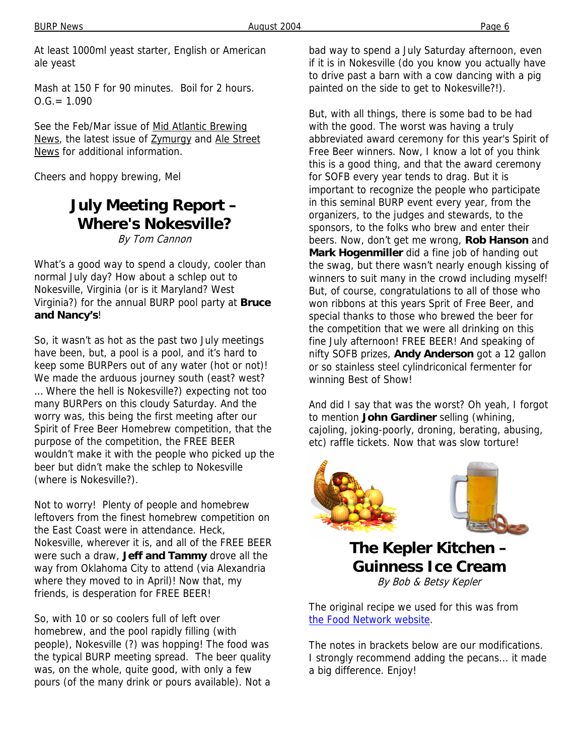At least 1000ml yeast starter, English or American ale yeast

Mash at 150 F for 90 minutes. Boil for 2 hours.  $O.G. = 1.090$ 

See the Feb/Mar issue of Mid Atlantic Brewing News, the latest issue of **Zymurgy** and Ale Street News for additional information.

Cheers and hoppy brewing, Mel

### **July Meeting Report – Where's Nokesville?**

By Tom Cannon

What's a good way to spend a cloudy, cooler than normal July day? How about a schlep out to Nokesville, Virginia (or is it Maryland? West Virginia?) for the annual BURP pool party at **Bruce and Nancy's**!

So, it wasn't as hot as the past two July meetings have been, but, a pool is a pool, and it's hard to keep some BURPers out of any water (hot or not)! We made the arduous journey south (east? west? … Where the hell is Nokesville?) expecting not too many BURPers on this cloudy Saturday. And the worry was, this being the first meeting after our Spirit of Free Beer Homebrew competition, that the purpose of the competition, the FREE BEER wouldn't make it with the people who picked up the beer but didn't make the schlep to Nokesville (where is Nokesville?).

Not to worry! Plenty of people and homebrew leftovers from the finest homebrew competition on the East Coast were in attendance. Heck, Nokesville, wherever it is, and all of the FREE BEER were such a draw, **Jeff and Tammy** drove all the way from Oklahoma City to attend (via Alexandria where they moved to in April)! Now that, my friends, is desperation for FREE BEER!

So, with 10 or so coolers full of left over homebrew, and the pool rapidly filling (with people), Nokesville (?) was hopping! The food was the typical BURP meeting spread. The beer quality was, on the whole, quite good, with only a few pours (of the many drink or pours available). Not a

bad way to spend a July Saturday afternoon, even if it is in Nokesville (do you know you actually have to drive past a barn with a cow dancing with a pig painted on the side to get to Nokesville?!).

But, with all things, there is some bad to be had with the good. The worst was having a truly abbreviated award ceremony for this year's Spirit of Free Beer winners. Now, I know a lot of you think this is a good thing, and that the award ceremony for SOFB every year tends to drag. But it is important to recognize the people who participate in this seminal BURP event every year, from the organizers, to the judges and stewards, to the sponsors, to the folks who brew and enter their beers. Now, don't get me wrong, **Rob Hanson** and **Mark Hogenmiller** did a fine job of handing out the swag, but there wasn't nearly enough kissing of winners to suit many in the crowd including myself! But, of course, congratulations to all of those who won ribbons at this years Sprit of Free Beer, and special thanks to those who brewed the beer for the competition that we were all drinking on this fine July afternoon! FREE BEER! And speaking of nifty SOFB prizes, **Andy Anderson** got a 12 gallon or so stainless steel cylindriconical fermenter for winning Best of Show!

And did I say that was the worst? Oh yeah, I forgot to mention **John Gardiner** selling (whining, cajoling, joking-poorly, droning, berating, abusing, etc) raffle tickets. Now that was slow torture!





**The Kepler Kitchen – Guinness Ice Cream** By Bob & Betsy Kepler

The original recipe we used for this was from the Food Network website.

The notes in brackets below are our modifications. I strongly recommend adding the pecans... it made a big difference. Enjoy!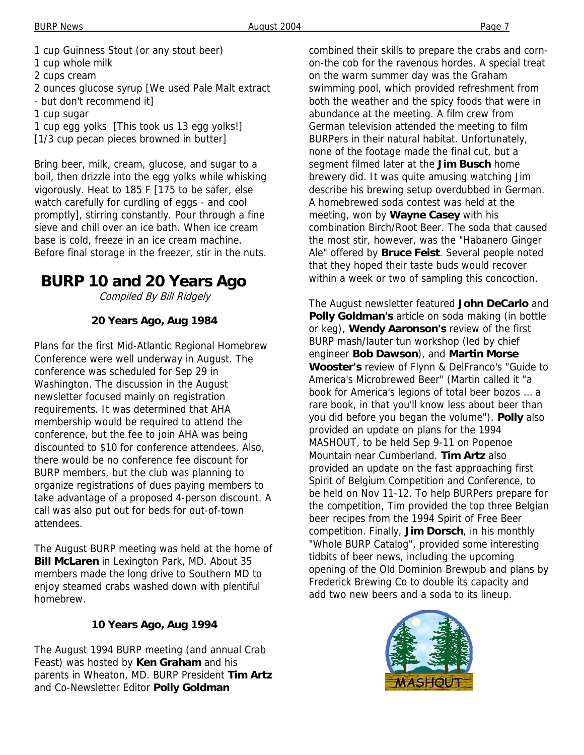- 1 cup Guinness Stout (or any stout beer)
- 1 cup whole milk
- 2 cups cream
- 2 ounces glucose syrup [We used Pale Malt extract
- but don't recommend it]
- 1 cup sugar
- 1 cup egg yolks [This took us 13 egg yolks!] [1/3 cup pecan pieces browned in butter]

Bring beer, milk, cream, glucose, and sugar to a boil, then drizzle into the egg yolks while whisking vigorously. Heat to 185 F [175 to be safer, else watch carefully for curdling of eggs - and cool promptly], stirring constantly. Pour through a fine sieve and chill over an ice bath. When ice cream base is cold, freeze in an ice cream machine. Before final storage in the freezer, stir in the nuts.

## **BURP 10 and 20 Years Ago**

Compiled By Bill Ridgely

### **20 Years Ago, Aug 1984**

Plans for the first Mid-Atlantic Regional Homebrew Conference were well underway in August. The conference was scheduled for Sep 29 in Washington. The discussion in the August newsletter focused mainly on registration requirements. It was determined that AHA membership would be required to attend the conference, but the fee to join AHA was being discounted to \$10 for conference attendees. Also, there would be no conference fee discount for BURP members, but the club was planning to organize registrations of dues paying members to take advantage of a proposed 4-person discount. A call was also put out for beds for out-of-town attendees.

The August BURP meeting was held at the home of **Bill McLaren** in Lexington Park, MD. About 35 members made the long drive to Southern MD to enjoy steamed crabs washed down with plentiful homebrew.

### **10 Years Ago, Aug 1994**

The August 1994 BURP meeting (and annual Crab Feast) was hosted by **Ken Graham** and his parents in Wheaton, MD. BURP President **Tim Artz** and Co-Newsletter Editor **Polly Goldman**

combined their skills to prepare the crabs and cornon-the cob for the ravenous hordes. A special treat on the warm summer day was the Graham swimming pool, which provided refreshment from both the weather and the spicy foods that were in abundance at the meeting. A film crew from German television attended the meeting to film BURPers in their natural habitat. Unfortunately, none of the footage made the final cut, but a segment filmed later at the **Jim Busch** home brewery did. It was quite amusing watching Jim describe his brewing setup overdubbed in German. A homebrewed soda contest was held at the meeting, won by **Wayne Casey** with his combination Birch/Root Beer. The soda that caused the most stir, however, was the "Habanero Ginger Ale" offered by **Bruce Feist**. Several people noted that they hoped their taste buds would recover within a week or two of sampling this concoction.

The August newsletter featured **John DeCarlo** and **Polly Goldman's** article on soda making (in bottle or keg), **Wendy Aaronson's** review of the first BURP mash/lauter tun workshop (led by chief engineer **Bob Dawson**), and **Martin Morse Wooster's** review of Flynn & DelFranco's "Guide to America's Microbrewed Beer" (Martin called it "a book for America's legions of total beer bozos … a rare book, in that you'll know less about beer than you did before you began the volume"). **Polly** also provided an update on plans for the 1994 MASHOUT, to be held Sep 9-11 on Popenoe Mountain near Cumberland. **Tim Artz** also provided an update on the fast approaching first Spirit of Belgium Competition and Conference, to be held on Nov 11-12. To help BURPers prepare for the competition, Tim provided the top three Belgian beer recipes from the 1994 Spirit of Free Beer competition. Finally, **Jim Dorsch**, in his monthly "Whole BURP Catalog", provided some interesting tidbits of beer news, including the upcoming opening of the Old Dominion Brewpub and plans by Frederick Brewing Co to double its capacity and add two new beers and a soda to its lineup.

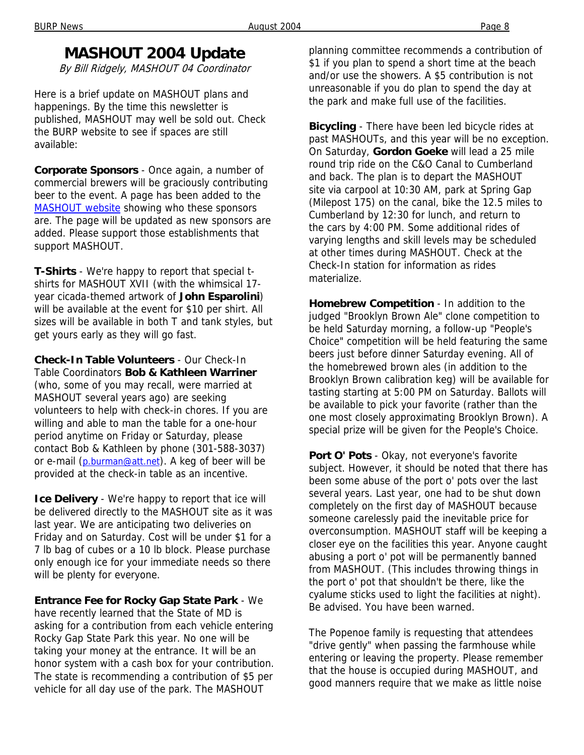### **MASHOUT 2004 Update**

By Bill Ridgely, MASHOUT 04 Coordinator

Here is a brief update on MASHOUT plans and happenings. By the time this newsletter is published, MASHOUT may well be sold out. Check the BURP website to see if spaces are still available:

**Corporate Sponsors** - Once again, a number of commercial brewers will be graciously contributing beer to the event. A page has been added to the MASHOUT website showing who these sponsors are. The page will be updated as new sponsors are added. Please support those establishments that support MASHOUT.

**T-Shirts** - We're happy to report that special tshirts for MASHOUT XVII (with the whimsical 17 year cicada-themed artwork of **John Esparolini**) will be available at the event for \$10 per shirt. All sizes will be available in both T and tank styles, but get yours early as they will go fast.

**Check-In Table Volunteers** - Our Check-In Table Coordinators **Bob & Kathleen Warriner** (who, some of you may recall, were married at MASHOUT several years ago) are seeking volunteers to help with check-in chores. If you are willing and able to man the table for a one-hour period anytime on Friday or Saturday, please contact Bob & Kathleen by phone (301-588-3037) or e-mail (p.burman@att.net). A keg of beer will be provided at the check-in table as an incentive.

**Ice Delivery** - We're happy to report that ice will be delivered directly to the MASHOUT site as it was last year. We are anticipating two deliveries on Friday and on Saturday. Cost will be under \$1 for a 7 lb bag of cubes or a 10 lb block. Please purchase only enough ice for your immediate needs so there will be plenty for everyone.

**Entrance Fee for Rocky Gap State Park** - We have recently learned that the State of MD is asking for a contribution from each vehicle entering Rocky Gap State Park this year. No one will be taking your money at the entrance. It will be an honor system with a cash box for your contribution. The state is recommending a contribution of \$5 per vehicle for all day use of the park. The MASHOUT

planning committee recommends a contribution of \$1 if you plan to spend a short time at the beach and/or use the showers. A \$5 contribution is not unreasonable if you do plan to spend the day at the park and make full use of the facilities.

**Bicycling** - There have been led bicycle rides at past MASHOUTs, and this year will be no exception. On Saturday, **Gordon Goeke** will lead a 25 mile round trip ride on the C&O Canal to Cumberland and back. The plan is to depart the MASHOUT site via carpool at 10:30 AM, park at Spring Gap (Milepost 175) on the canal, bike the 12.5 miles to Cumberland by 12:30 for lunch, and return to the cars by 4:00 PM. Some additional rides of varying lengths and skill levels may be scheduled at other times during MASHOUT. Check at the Check-In station for information as rides materialize.

**Homebrew Competition** - In addition to the judged "Brooklyn Brown Ale" clone competition to be held Saturday morning, a follow-up "People's Choice" competition will be held featuring the same beers just before dinner Saturday evening. All of the homebrewed brown ales (in addition to the Brooklyn Brown calibration keg) will be available for tasting starting at 5:00 PM on Saturday. Ballots will be available to pick your favorite (rather than the one most closely approximating Brooklyn Brown). A special prize will be given for the People's Choice.

**Port O' Pots** - Okay, not everyone's favorite subject. However, it should be noted that there has been some abuse of the port o' pots over the last several years. Last year, one had to be shut down completely on the first day of MASHOUT because someone carelessly paid the inevitable price for overconsumption. MASHOUT staff will be keeping a closer eye on the facilities this year. Anyone caught abusing a port o' pot will be permanently banned from MASHOUT. (This includes throwing things in the port o' pot that shouldn't be there, like the cyalume sticks used to light the facilities at night). Be advised. You have been warned.

The Popenoe family is requesting that attendees "drive gently" when passing the farmhouse while entering or leaving the property. Please remember that the house is occupied during MASHOUT, and good manners require that we make as little noise